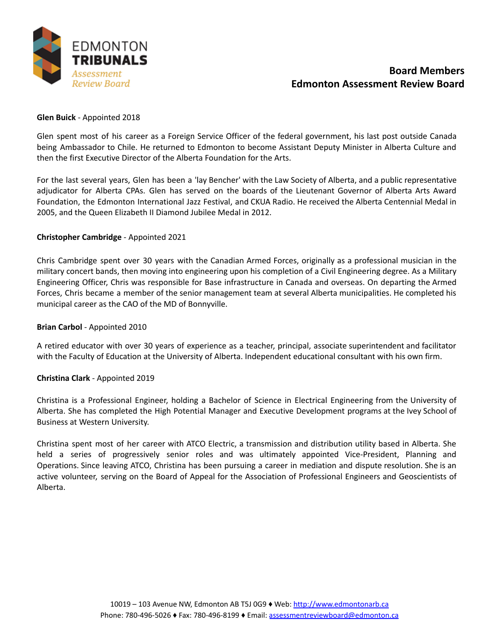

# **Board Members Edmonton Assessment Review Board**

## **Glen Buick** - Appointed 2018

Glen spent most of his career as a Foreign Service Officer of the federal government, his last post outside Canada being Ambassador to Chile. He returned to Edmonton to become Assistant Deputy Minister in Alberta Culture and then the first Executive Director of the Alberta Foundation for the Arts.

For the last several years, Glen has been a 'lay Bencher' with the Law Society of Alberta, and a public representative adjudicator for Alberta CPAs. Glen has served on the boards of the Lieutenant Governor of Alberta Arts Award Foundation, the Edmonton International Jazz Festival, and CKUA Radio. He received the Alberta Centennial Medal in 2005, and the Queen Elizabeth II Diamond Jubilee Medal in 2012.

## **Christopher Cambridge** - Appointed 2021

Chris Cambridge spent over 30 years with the Canadian Armed Forces, originally as a professional musician in the military concert bands, then moving into engineering upon his completion of a Civil Engineering degree. As a Military Engineering Officer, Chris was responsible for Base infrastructure in Canada and overseas. On departing the Armed Forces, Chris became a member of the senior management team at several Alberta municipalities. He completed his municipal career as the CAO of the MD of Bonnyville.

#### **Brian Carbol** - Appointed 2010

A retired educator with over 30 years of experience as a teacher, principal, associate superintendent and facilitator with the Faculty of Education at the University of Alberta. Independent educational consultant with his own firm.

#### **Christina Clark** - Appointed 2019

Christina is a Professional Engineer, holding a Bachelor of Science in Electrical Engineering from the University of Alberta. She has completed the High Potential Manager and Executive Development programs at the Ivey School of Business at Western University.

Christina spent most of her career with ATCO Electric, a transmission and distribution utility based in Alberta. She held a series of progressively senior roles and was ultimately appointed Vice-President, Planning and Operations. Since leaving ATCO, Christina has been pursuing a career in mediation and dispute resolution. She is an active volunteer, serving on the Board of Appeal for the Association of Professional Engineers and Geoscientists of Alberta.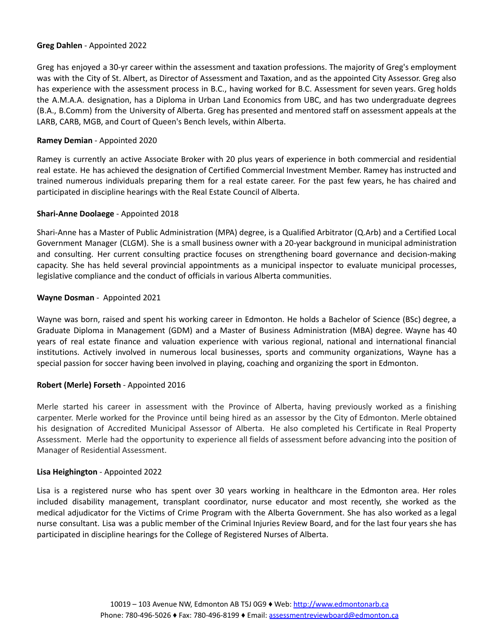## **Greg Dahlen** - Appointed 2022

Greg has enjoyed a 30-yr career within the assessment and taxation professions. The majority of Greg's employment was with the City of St. Albert, as Director of Assessment and Taxation, and as the appointed City Assessor. Greg also has experience with the assessment process in B.C., having worked for B.C. Assessment for seven years. Greg holds the A.M.A.A. designation, has a Diploma in Urban Land Economics from UBC, and has two undergraduate degrees (B.A., B.Comm) from the University of Alberta. Greg has presented and mentored staff on assessment appeals at the LARB, CARB, MGB, and Court of Queen's Bench levels, within Alberta.

## **Ramey Demian** - Appointed 2020

Ramey is currently an active Associate Broker with 20 plus years of experience in both commercial and residential real estate. He has achieved the designation of Certified Commercial Investment Member. Ramey has instructed and trained numerous individuals preparing them for a real estate career. For the past few years, he has chaired and participated in discipline hearings with the Real Estate Council of Alberta.

## **Shari-Anne Doolaege** - Appointed 2018

Shari-Anne has a Master of Public Administration (MPA) degree, is a Qualified Arbitrator (Q.Arb) and a Certified Local Government Manager (CLGM). She is a small business owner with a 20-year background in municipal administration and consulting. Her current consulting practice focuses on strengthening board governance and decision-making capacity. She has held several provincial appointments as a municipal inspector to evaluate municipal processes, legislative compliance and the conduct of officials in various Alberta communities.

## **Wayne Dosman** - Appointed 2021

Wayne was born, raised and spent his working career in Edmonton. He holds a Bachelor of Science (BSc) degree, a Graduate Diploma in Management (GDM) and a Master of Business Administration (MBA) degree. Wayne has 40 years of real estate finance and valuation experience with various regional, national and international financial institutions. Actively involved in numerous local businesses, sports and community organizations, Wayne has a special passion for soccer having been involved in playing, coaching and organizing the sport in Edmonton.

## **Robert (Merle) Forseth** - Appointed 2016

Merle started his career in assessment with the Province of Alberta, having previously worked as a finishing carpenter. Merle worked for the Province until being hired as an assessor by the City of Edmonton. Merle obtained his designation of Accredited Municipal Assessor of Alberta. He also completed his Certificate in Real Property Assessment. Merle had the opportunity to experience all fields of assessment before advancing into the position of Manager of Residential Assessment.

#### **Lisa Heighington** - Appointed 2022

Lisa is a registered nurse who has spent over 30 years working in healthcare in the Edmonton area. Her roles included disability management, transplant coordinator, nurse educator and most recently, she worked as the medical adjudicator for the Victims of Crime Program with the Alberta Government. She has also worked as a legal nurse consultant. Lisa was a public member of the Criminal Injuries Review Board, and for the last four years she has participated in discipline hearings for the College of Registered Nurses of Alberta.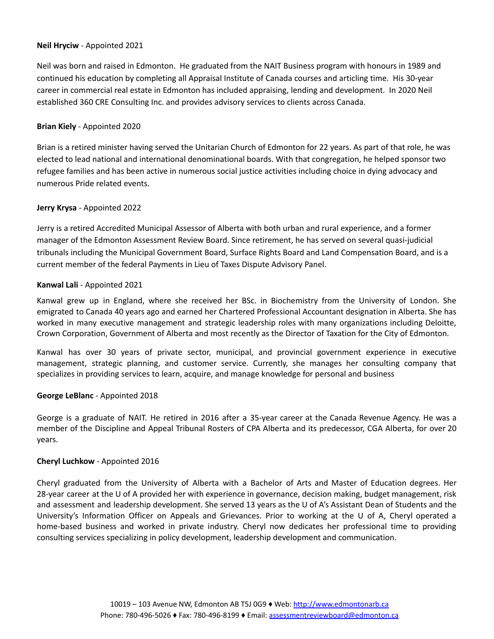## **Neil Hryciw** - Appointed 2021

Neil was born and raised in Edmonton. He graduated from the NAIT Business program with honours in 1989 and continued his education by completing all Appraisal Institute of Canada courses and articling time. His 30-year career in commercial real estate in Edmonton has included appraising, lending and development. In 2020 Neil established 360 CRE Consulting Inc. and provides advisory services to clients across Canada.

## **Brian Kiely** - Appointed 2020

Brian is a retired minister having served the Unitarian Church of Edmonton for 22 years. As part of that role, he was elected to lead national and international denominational boards. With that congregation, he helped sponsor two refugee families and has been active in numerous social justice activities including choice in dying advocacy and numerous Pride related events.

## **Jerry Krysa** - Appointed 2022

Jerry is a retired Accredited Municipal Assessor of Alberta with both urban and rural experience, and a former manager of the Edmonton Assessment Review Board. Since retirement, he has served on several quasi-judicial tribunals including the Municipal Government Board, Surface Rights Board and Land Compensation Board, and is a current member of the federal Payments in Lieu of Taxes Dispute Advisory Panel.

## **Kanwal Lali** - Appointed 2021

Kanwal grew up in England, where she received her BSc. in Biochemistry from the University of London. She emigrated to Canada 40 years ago and earned her Chartered Professional Accountant designation in Alberta. She has worked in many executive management and strategic leadership roles with many organizations including Deloitte, Crown Corporation, Government of Alberta and most recently as the Director of Taxation for the City of Edmonton.

Kanwal has over 30 years of private sector, municipal, and provincial government experience in executive management, strategic planning, and customer service. Currently, she manages her consulting company that specializes in providing services to learn, acquire, and manage knowledge for personal and business

#### **George LeBlanc** - Appointed 2018

George is a graduate of NAIT. He retired in 2016 after a 35-year career at the Canada Revenue Agency. He was a member of the Discipline and Appeal Tribunal Rosters of CPA Alberta and its predecessor, CGA Alberta, for over 20 years.

#### **Cheryl Luchkow** - Appointed 2016

Cheryl graduated from the University of Alberta with a Bachelor of Arts and Master of Education degrees. Her 28-year career at the U of A provided her with experience in governance, decision making, budget management, risk and assessment and leadership development. She served 13 years as the U of A's Assistant Dean of Students and the University's Information Officer on Appeals and Grievances. Prior to working at the U of A, Cheryl operated a home-based business and worked in private industry. Cheryl now dedicates her professional time to providing consulting services specializing in policy development, leadership development and communication.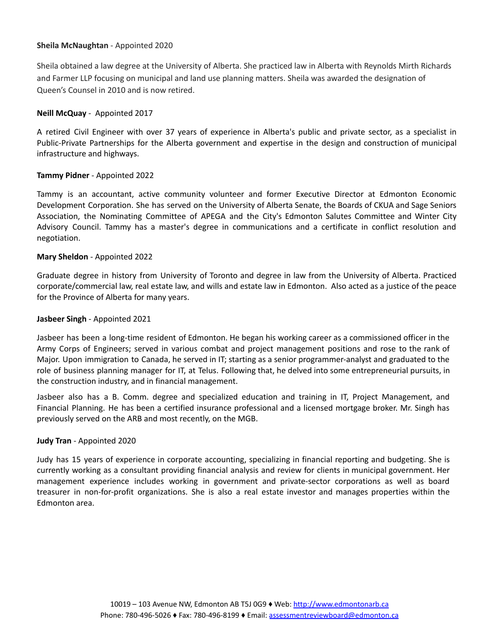## **Sheila McNaughtan** - Appointed 2020

Sheila obtained a law degree at the University of Alberta. She practiced law in Alberta with Reynolds Mirth Richards and Farmer LLP focusing on municipal and land use planning matters. Sheila was awarded the designation of Queen's Counsel in 2010 and is now retired.

## **Neill McQuay** - Appointed 2017

A retired Civil Engineer with over 37 years of experience in Alberta's public and private sector, as a specialist in Public-Private Partnerships for the Alberta government and expertise in the design and construction of municipal infrastructure and highways.

## **Tammy Pidner** - Appointed 2022

Tammy is an accountant, active community volunteer and former Executive Director at Edmonton Economic Development Corporation. She has served on the University of Alberta Senate, the Boards of CKUA and Sage Seniors Association, the Nominating Committee of APEGA and the City's Edmonton Salutes Committee and Winter City Advisory Council. Tammy has a master's degree in communications and a certificate in conflict resolution and negotiation.

## **Mary Sheldon** - Appointed 2022

Graduate degree in history from University of Toronto and degree in law from the University of Alberta. Practiced corporate/commercial law, real estate law, and wills and estate law in Edmonton. Also acted as a justice of the peace for the Province of Alberta for many years.

## **Jasbeer Singh** - Appointed 2021

Jasbeer has been a long-time resident of Edmonton. He began his working career as a commissioned officer in the Army Corps of Engineers; served in various combat and project management positions and rose to the rank of Major. Upon immigration to Canada, he served in IT; starting as a senior programmer-analyst and graduated to the role of business planning manager for IT, at Telus. Following that, he delved into some entrepreneurial pursuits, in the construction industry, and in financial management.

Jasbeer also has a B. Comm. degree and specialized education and training in IT, Project Management, and Financial Planning. He has been a certified insurance professional and a licensed mortgage broker. Mr. Singh has previously served on the ARB and most recently, on the MGB.

#### **Judy Tran** - Appointed 2020

Judy has 15 years of experience in corporate accounting, specializing in financial reporting and budgeting. She is currently working as a consultant providing financial analysis and review for clients in municipal government. Her management experience includes working in government and private-sector corporations as well as board treasurer in non-for-profit organizations. She is also a real estate investor and manages properties within the Edmonton area.